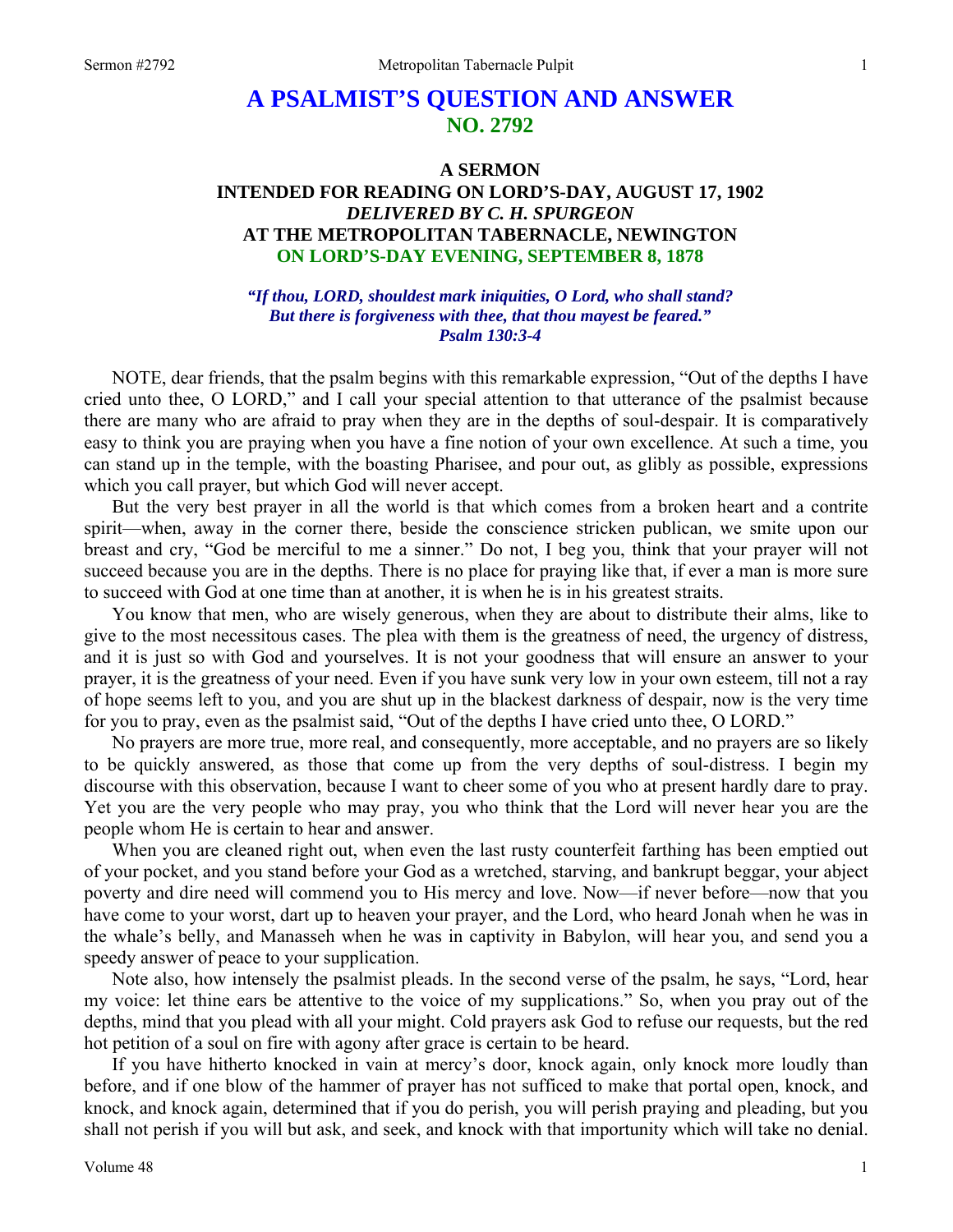## **A PSALMIST'S QUESTION AND ANSWER NO. 2792**

## **A SERMON INTENDED FOR READING ON LORD'S-DAY, AUGUST 17, 1902**  *DELIVERED BY C. H. SPURGEON*  **AT THE METROPOLITAN TABERNACLE, NEWINGTON ON LORD'S-DAY EVENING, SEPTEMBER 8, 1878**

*"If thou, LORD, shouldest mark iniquities, O Lord, who shall stand? But there is forgiveness with thee, that thou mayest be feared." Psalm 130:3-4* 

NOTE, dear friends, that the psalm begins with this remarkable expression, "Out of the depths I have cried unto thee, O LORD," and I call your special attention to that utterance of the psalmist because there are many who are afraid to pray when they are in the depths of soul-despair. It is comparatively easy to think you are praying when you have a fine notion of your own excellence. At such a time, you can stand up in the temple, with the boasting Pharisee, and pour out, as glibly as possible, expressions which you call prayer, but which God will never accept.

But the very best prayer in all the world is that which comes from a broken heart and a contrite spirit—when, away in the corner there, beside the conscience stricken publican, we smite upon our breast and cry, "God be merciful to me a sinner." Do not, I beg you, think that your prayer will not succeed because you are in the depths. There is no place for praying like that, if ever a man is more sure to succeed with God at one time than at another, it is when he is in his greatest straits.

You know that men, who are wisely generous, when they are about to distribute their alms, like to give to the most necessitous cases. The plea with them is the greatness of need, the urgency of distress, and it is just so with God and yourselves. It is not your goodness that will ensure an answer to your prayer, it is the greatness of your need. Even if you have sunk very low in your own esteem, till not a ray of hope seems left to you, and you are shut up in the blackest darkness of despair, now is the very time for you to pray, even as the psalmist said, "Out of the depths I have cried unto thee, O LORD."

No prayers are more true, more real, and consequently, more acceptable, and no prayers are so likely to be quickly answered, as those that come up from the very depths of soul-distress. I begin my discourse with this observation, because I want to cheer some of you who at present hardly dare to pray. Yet you are the very people who may pray, you who think that the Lord will never hear you are the people whom He is certain to hear and answer.

When you are cleaned right out, when even the last rusty counterfeit farthing has been emptied out of your pocket, and you stand before your God as a wretched, starving, and bankrupt beggar, your abject poverty and dire need will commend you to His mercy and love. Now—if never before—now that you have come to your worst, dart up to heaven your prayer, and the Lord, who heard Jonah when he was in the whale's belly, and Manasseh when he was in captivity in Babylon, will hear you, and send you a speedy answer of peace to your supplication.

Note also, how intensely the psalmist pleads. In the second verse of the psalm, he says, "Lord, hear my voice: let thine ears be attentive to the voice of my supplications." So, when you pray out of the depths, mind that you plead with all your might. Cold prayers ask God to refuse our requests, but the red hot petition of a soul on fire with agony after grace is certain to be heard.

If you have hitherto knocked in vain at mercy's door, knock again, only knock more loudly than before, and if one blow of the hammer of prayer has not sufficed to make that portal open, knock, and knock, and knock again, determined that if you do perish, you will perish praying and pleading, but you shall not perish if you will but ask, and seek, and knock with that importunity which will take no denial.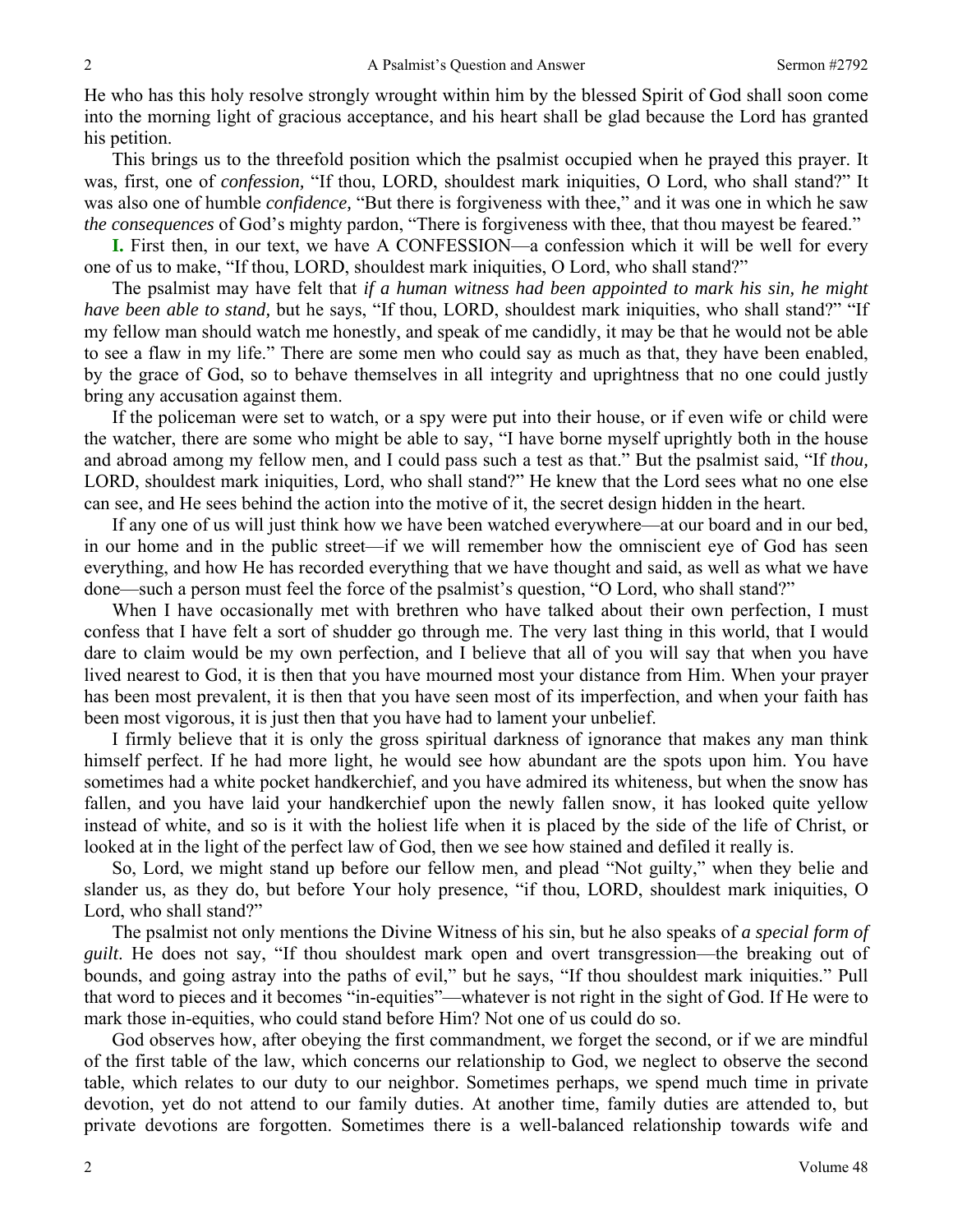He who has this holy resolve strongly wrought within him by the blessed Spirit of God shall soon come into the morning light of gracious acceptance, and his heart shall be glad because the Lord has granted his petition.

This brings us to the threefold position which the psalmist occupied when he prayed this prayer. It was, first, one of *confession,* "If thou, LORD, shouldest mark iniquities, O Lord, who shall stand?" It was also one of humble *confidence,* "But there is forgiveness with thee," and it was one in which he saw *the consequences* of God's mighty pardon, "There is forgiveness with thee, that thou mayest be feared."

**I.** First then, in our text, we have A CONFESSION—a confession which it will be well for every one of us to make, "If thou, LORD, shouldest mark iniquities, O Lord, who shall stand?"

The psalmist may have felt that *if a human witness had been appointed to mark his sin, he might have been able to stand,* but he says, "If thou, LORD, shouldest mark iniquities, who shall stand?" "If my fellow man should watch me honestly, and speak of me candidly, it may be that he would not be able to see a flaw in my life." There are some men who could say as much as that, they have been enabled, by the grace of God, so to behave themselves in all integrity and uprightness that no one could justly bring any accusation against them.

If the policeman were set to watch, or a spy were put into their house, or if even wife or child were the watcher, there are some who might be able to say, "I have borne myself uprightly both in the house and abroad among my fellow men, and I could pass such a test as that." But the psalmist said, "If *thou,* LORD, shouldest mark iniquities, Lord, who shall stand?" He knew that the Lord sees what no one else can see, and He sees behind the action into the motive of it, the secret design hidden in the heart.

If any one of us will just think how we have been watched everywhere—at our board and in our bed, in our home and in the public street—if we will remember how the omniscient eye of God has seen everything, and how He has recorded everything that we have thought and said, as well as what we have done—such a person must feel the force of the psalmist's question, "O Lord, who shall stand?"

When I have occasionally met with brethren who have talked about their own perfection, I must confess that I have felt a sort of shudder go through me. The very last thing in this world, that I would dare to claim would be my own perfection, and I believe that all of you will say that when you have lived nearest to God, it is then that you have mourned most your distance from Him. When your prayer has been most prevalent, it is then that you have seen most of its imperfection, and when your faith has been most vigorous, it is just then that you have had to lament your unbelief.

I firmly believe that it is only the gross spiritual darkness of ignorance that makes any man think himself perfect. If he had more light, he would see how abundant are the spots upon him. You have sometimes had a white pocket handkerchief, and you have admired its whiteness, but when the snow has fallen, and you have laid your handkerchief upon the newly fallen snow, it has looked quite yellow instead of white, and so is it with the holiest life when it is placed by the side of the life of Christ, or looked at in the light of the perfect law of God, then we see how stained and defiled it really is.

So, Lord, we might stand up before our fellow men, and plead "Not guilty," when they belie and slander us, as they do, but before Your holy presence, "if thou, LORD, shouldest mark iniquities, O Lord, who shall stand?"

The psalmist not only mentions the Divine Witness of his sin, but he also speaks of *a special form of guilt*. He does not say, "If thou shouldest mark open and overt transgression—the breaking out of bounds, and going astray into the paths of evil," but he says, "If thou shouldest mark iniquities." Pull that word to pieces and it becomes "in-equities"—whatever is not right in the sight of God. If He were to mark those in-equities, who could stand before Him? Not one of us could do so.

God observes how, after obeying the first commandment, we forget the second, or if we are mindful of the first table of the law, which concerns our relationship to God, we neglect to observe the second table, which relates to our duty to our neighbor. Sometimes perhaps, we spend much time in private devotion, yet do not attend to our family duties. At another time, family duties are attended to, but private devotions are forgotten. Sometimes there is a well-balanced relationship towards wife and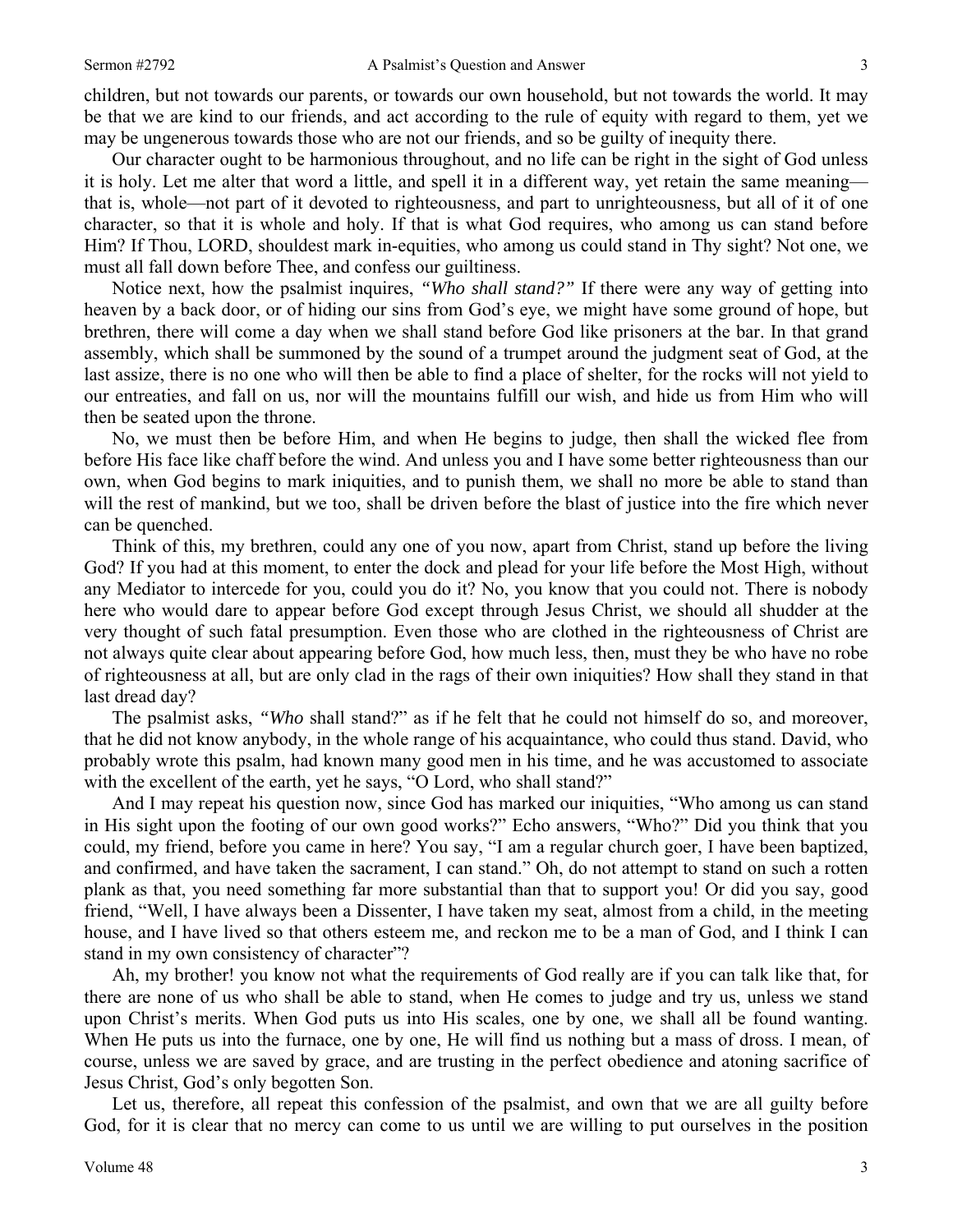children, but not towards our parents, or towards our own household, but not towards the world. It may be that we are kind to our friends, and act according to the rule of equity with regard to them, yet we may be ungenerous towards those who are not our friends, and so be guilty of inequity there.

Our character ought to be harmonious throughout, and no life can be right in the sight of God unless it is holy. Let me alter that word a little, and spell it in a different way, yet retain the same meaning that is, whole—not part of it devoted to righteousness, and part to unrighteousness, but all of it of one character, so that it is whole and holy. If that is what God requires, who among us can stand before Him? If Thou, LORD, shouldest mark in-equities, who among us could stand in Thy sight? Not one, we must all fall down before Thee, and confess our guiltiness.

Notice next, how the psalmist inquires, *"Who shall stand?"* If there were any way of getting into heaven by a back door, or of hiding our sins from God's eye, we might have some ground of hope, but brethren, there will come a day when we shall stand before God like prisoners at the bar. In that grand assembly, which shall be summoned by the sound of a trumpet around the judgment seat of God, at the last assize, there is no one who will then be able to find a place of shelter, for the rocks will not yield to our entreaties, and fall on us, nor will the mountains fulfill our wish, and hide us from Him who will then be seated upon the throne.

No, we must then be before Him, and when He begins to judge, then shall the wicked flee from before His face like chaff before the wind. And unless you and I have some better righteousness than our own, when God begins to mark iniquities, and to punish them, we shall no more be able to stand than will the rest of mankind, but we too, shall be driven before the blast of justice into the fire which never can be quenched.

Think of this, my brethren, could any one of you now, apart from Christ, stand up before the living God? If you had at this moment, to enter the dock and plead for your life before the Most High, without any Mediator to intercede for you, could you do it? No, you know that you could not. There is nobody here who would dare to appear before God except through Jesus Christ, we should all shudder at the very thought of such fatal presumption. Even those who are clothed in the righteousness of Christ are not always quite clear about appearing before God, how much less, then, must they be who have no robe of righteousness at all, but are only clad in the rags of their own iniquities? How shall they stand in that last dread day?

The psalmist asks, *"Who* shall stand?" as if he felt that he could not himself do so, and moreover, that he did not know anybody, in the whole range of his acquaintance, who could thus stand. David, who probably wrote this psalm, had known many good men in his time, and he was accustomed to associate with the excellent of the earth, yet he says, "O Lord, who shall stand?"

And I may repeat his question now, since God has marked our iniquities, "Who among us can stand in His sight upon the footing of our own good works?" Echo answers, "Who?" Did you think that you could, my friend, before you came in here? You say, "I am a regular church goer, I have been baptized, and confirmed, and have taken the sacrament, I can stand." Oh, do not attempt to stand on such a rotten plank as that, you need something far more substantial than that to support you! Or did you say, good friend, "Well, I have always been a Dissenter, I have taken my seat, almost from a child, in the meeting house, and I have lived so that others esteem me, and reckon me to be a man of God, and I think I can stand in my own consistency of character"?

Ah, my brother! you know not what the requirements of God really are if you can talk like that, for there are none of us who shall be able to stand, when He comes to judge and try us, unless we stand upon Christ's merits. When God puts us into His scales, one by one, we shall all be found wanting. When He puts us into the furnace, one by one, He will find us nothing but a mass of dross. I mean, of course, unless we are saved by grace, and are trusting in the perfect obedience and atoning sacrifice of Jesus Christ, God's only begotten Son.

Let us, therefore, all repeat this confession of the psalmist, and own that we are all guilty before God, for it is clear that no mercy can come to us until we are willing to put ourselves in the position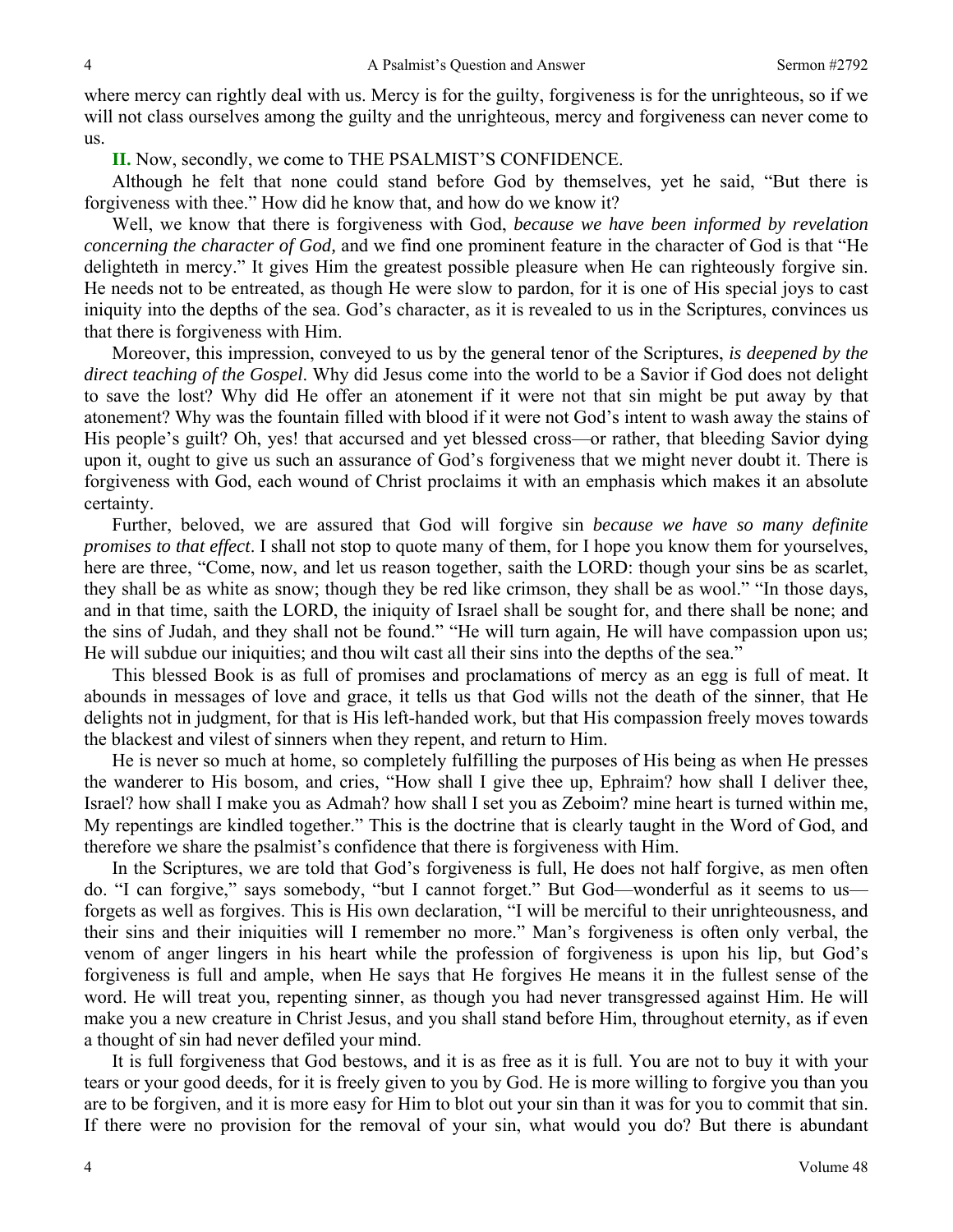where mercy can rightly deal with us. Mercy is for the guilty, forgiveness is for the unrighteous, so if we will not class ourselves among the guilty and the unrighteous, mercy and forgiveness can never come to us.

**II.** Now, secondly, we come to THE PSALMIST'S CONFIDENCE.

Although he felt that none could stand before God by themselves, yet he said, "But there is forgiveness with thee." How did he know that, and how do we know it?

Well, we know that there is forgiveness with God, *because we have been informed by revelation concerning the character of God,* and we find one prominent feature in the character of God is that "He delighteth in mercy." It gives Him the greatest possible pleasure when He can righteously forgive sin. He needs not to be entreated, as though He were slow to pardon, for it is one of His special joys to cast iniquity into the depths of the sea. God's character, as it is revealed to us in the Scriptures, convinces us that there is forgiveness with Him.

Moreover, this impression, conveyed to us by the general tenor of the Scriptures, *is deepened by the direct teaching of the Gospel*. Why did Jesus come into the world to be a Savior if God does not delight to save the lost? Why did He offer an atonement if it were not that sin might be put away by that atonement? Why was the fountain filled with blood if it were not God's intent to wash away the stains of His people's guilt? Oh, yes! that accursed and yet blessed cross—or rather, that bleeding Savior dying upon it, ought to give us such an assurance of God's forgiveness that we might never doubt it. There is forgiveness with God, each wound of Christ proclaims it with an emphasis which makes it an absolute certainty.

Further, beloved, we are assured that God will forgive sin *because we have so many definite promises to that effect*. I shall not stop to quote many of them, for I hope you know them for yourselves, here are three, "Come, now, and let us reason together, saith the LORD: though your sins be as scarlet, they shall be as white as snow; though they be red like crimson, they shall be as wool." "In those days, and in that time, saith the LORD, the iniquity of Israel shall be sought for, and there shall be none; and the sins of Judah, and they shall not be found." "He will turn again, He will have compassion upon us; He will subdue our iniquities; and thou wilt cast all their sins into the depths of the sea."

This blessed Book is as full of promises and proclamations of mercy as an egg is full of meat. It abounds in messages of love and grace, it tells us that God wills not the death of the sinner, that He delights not in judgment, for that is His left-handed work, but that His compassion freely moves towards the blackest and vilest of sinners when they repent, and return to Him.

He is never so much at home, so completely fulfilling the purposes of His being as when He presses the wanderer to His bosom, and cries, "How shall I give thee up, Ephraim? how shall I deliver thee, Israel? how shall I make you as Admah? how shall I set you as Zeboim? mine heart is turned within me, My repentings are kindled together." This is the doctrine that is clearly taught in the Word of God, and therefore we share the psalmist's confidence that there is forgiveness with Him.

In the Scriptures, we are told that God's forgiveness is full, He does not half forgive, as men often do. "I can forgive," says somebody, "but I cannot forget." But God—wonderful as it seems to us forgets as well as forgives. This is His own declaration, "I will be merciful to their unrighteousness, and their sins and their iniquities will I remember no more." Man's forgiveness is often only verbal, the venom of anger lingers in his heart while the profession of forgiveness is upon his lip, but God's forgiveness is full and ample, when He says that He forgives He means it in the fullest sense of the word. He will treat you, repenting sinner, as though you had never transgressed against Him. He will make you a new creature in Christ Jesus, and you shall stand before Him, throughout eternity, as if even a thought of sin had never defiled your mind.

It is full forgiveness that God bestows, and it is as free as it is full. You are not to buy it with your tears or your good deeds, for it is freely given to you by God. He is more willing to forgive you than you are to be forgiven, and it is more easy for Him to blot out your sin than it was for you to commit that sin. If there were no provision for the removal of your sin, what would you do? But there is abundant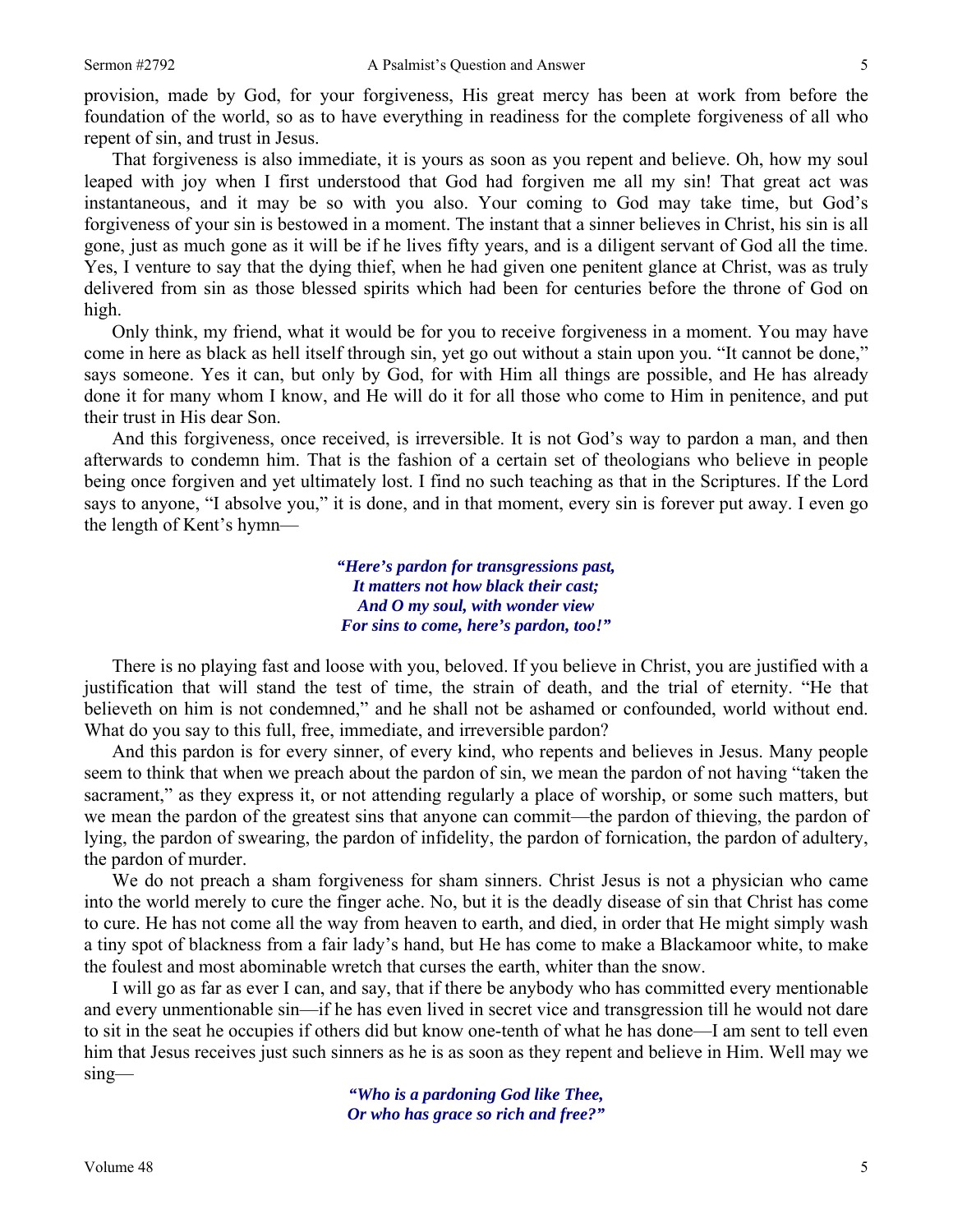provision, made by God, for your forgiveness, His great mercy has been at work from before the foundation of the world, so as to have everything in readiness for the complete forgiveness of all who repent of sin, and trust in Jesus.

That forgiveness is also immediate, it is yours as soon as you repent and believe. Oh, how my soul leaped with joy when I first understood that God had forgiven me all my sin! That great act was instantaneous, and it may be so with you also. Your coming to God may take time, but God's forgiveness of your sin is bestowed in a moment. The instant that a sinner believes in Christ, his sin is all gone, just as much gone as it will be if he lives fifty years, and is a diligent servant of God all the time. Yes, I venture to say that the dying thief, when he had given one penitent glance at Christ, was as truly delivered from sin as those blessed spirits which had been for centuries before the throne of God on high.

Only think, my friend, what it would be for you to receive forgiveness in a moment. You may have come in here as black as hell itself through sin, yet go out without a stain upon you. "It cannot be done," says someone. Yes it can, but only by God, for with Him all things are possible, and He has already done it for many whom I know, and He will do it for all those who come to Him in penitence, and put their trust in His dear Son.

And this forgiveness, once received, is irreversible. It is not God's way to pardon a man, and then afterwards to condemn him. That is the fashion of a certain set of theologians who believe in people being once forgiven and yet ultimately lost. I find no such teaching as that in the Scriptures. If the Lord says to anyone, "I absolve you," it is done, and in that moment, every sin is forever put away. I even go the length of Kent's hymn—

> *"Here's pardon for transgressions past, It matters not how black their cast; And O my soul, with wonder view For sins to come, here's pardon, too!"*

There is no playing fast and loose with you, beloved. If you believe in Christ, you are justified with a justification that will stand the test of time, the strain of death, and the trial of eternity. "He that believeth on him is not condemned," and he shall not be ashamed or confounded, world without end. What do you say to this full, free, immediate, and irreversible pardon?

And this pardon is for every sinner, of every kind, who repents and believes in Jesus. Many people seem to think that when we preach about the pardon of sin, we mean the pardon of not having "taken the sacrament," as they express it, or not attending regularly a place of worship, or some such matters, but we mean the pardon of the greatest sins that anyone can commit—the pardon of thieving, the pardon of lying, the pardon of swearing, the pardon of infidelity, the pardon of fornication, the pardon of adultery, the pardon of murder.

We do not preach a sham forgiveness for sham sinners. Christ Jesus is not a physician who came into the world merely to cure the finger ache. No, but it is the deadly disease of sin that Christ has come to cure. He has not come all the way from heaven to earth, and died, in order that He might simply wash a tiny spot of blackness from a fair lady's hand, but He has come to make a Blackamoor white, to make the foulest and most abominable wretch that curses the earth, whiter than the snow.

I will go as far as ever I can, and say, that if there be anybody who has committed every mentionable and every unmentionable sin—if he has even lived in secret vice and transgression till he would not dare to sit in the seat he occupies if others did but know one-tenth of what he has done—I am sent to tell even him that Jesus receives just such sinners as he is as soon as they repent and believe in Him. Well may we sing—

> *"Who is a pardoning God like Thee, Or who has grace so rich and free?"*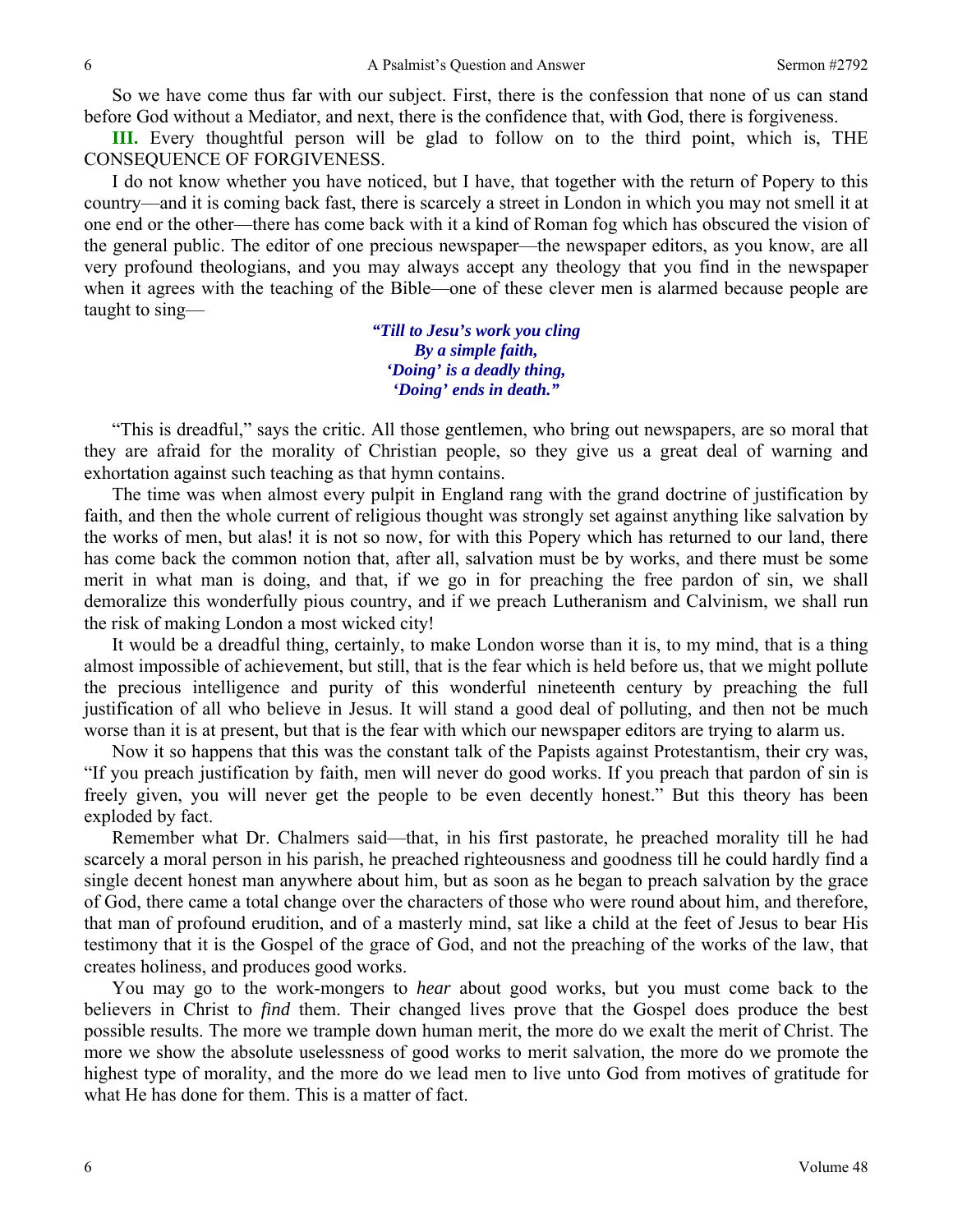So we have come thus far with our subject. First, there is the confession that none of us can stand before God without a Mediator, and next, there is the confidence that, with God, there is forgiveness.

**III.** Every thoughtful person will be glad to follow on to the third point, which is, THE CONSEQUENCE OF FORGIVENESS.

I do not know whether you have noticed, but I have, that together with the return of Popery to this country—and it is coming back fast, there is scarcely a street in London in which you may not smell it at one end or the other—there has come back with it a kind of Roman fog which has obscured the vision of the general public. The editor of one precious newspaper—the newspaper editors, as you know, are all very profound theologians, and you may always accept any theology that you find in the newspaper when it agrees with the teaching of the Bible—one of these clever men is alarmed because people are taught to sing—

> *"Till to Jesu's work you cling By a simple faith, 'Doing' is a deadly thing, 'Doing' ends in death."*

"This is dreadful," says the critic. All those gentlemen, who bring out newspapers, are so moral that they are afraid for the morality of Christian people, so they give us a great deal of warning and exhortation against such teaching as that hymn contains.

The time was when almost every pulpit in England rang with the grand doctrine of justification by faith, and then the whole current of religious thought was strongly set against anything like salvation by the works of men, but alas! it is not so now, for with this Popery which has returned to our land, there has come back the common notion that, after all, salvation must be by works, and there must be some merit in what man is doing, and that, if we go in for preaching the free pardon of sin, we shall demoralize this wonderfully pious country, and if we preach Lutheranism and Calvinism, we shall run the risk of making London a most wicked city!

It would be a dreadful thing, certainly, to make London worse than it is, to my mind, that is a thing almost impossible of achievement, but still, that is the fear which is held before us, that we might pollute the precious intelligence and purity of this wonderful nineteenth century by preaching the full justification of all who believe in Jesus. It will stand a good deal of polluting, and then not be much worse than it is at present, but that is the fear with which our newspaper editors are trying to alarm us.

Now it so happens that this was the constant talk of the Papists against Protestantism, their cry was, "If you preach justification by faith, men will never do good works. If you preach that pardon of sin is freely given, you will never get the people to be even decently honest." But this theory has been exploded by fact.

Remember what Dr. Chalmers said—that, in his first pastorate, he preached morality till he had scarcely a moral person in his parish, he preached righteousness and goodness till he could hardly find a single decent honest man anywhere about him, but as soon as he began to preach salvation by the grace of God, there came a total change over the characters of those who were round about him, and therefore, that man of profound erudition, and of a masterly mind, sat like a child at the feet of Jesus to bear His testimony that it is the Gospel of the grace of God, and not the preaching of the works of the law, that creates holiness, and produces good works.

You may go to the work-mongers to *hear* about good works, but you must come back to the believers in Christ to *find* them. Their changed lives prove that the Gospel does produce the best possible results. The more we trample down human merit, the more do we exalt the merit of Christ. The more we show the absolute uselessness of good works to merit salvation, the more do we promote the highest type of morality, and the more do we lead men to live unto God from motives of gratitude for what He has done for them. This is a matter of fact.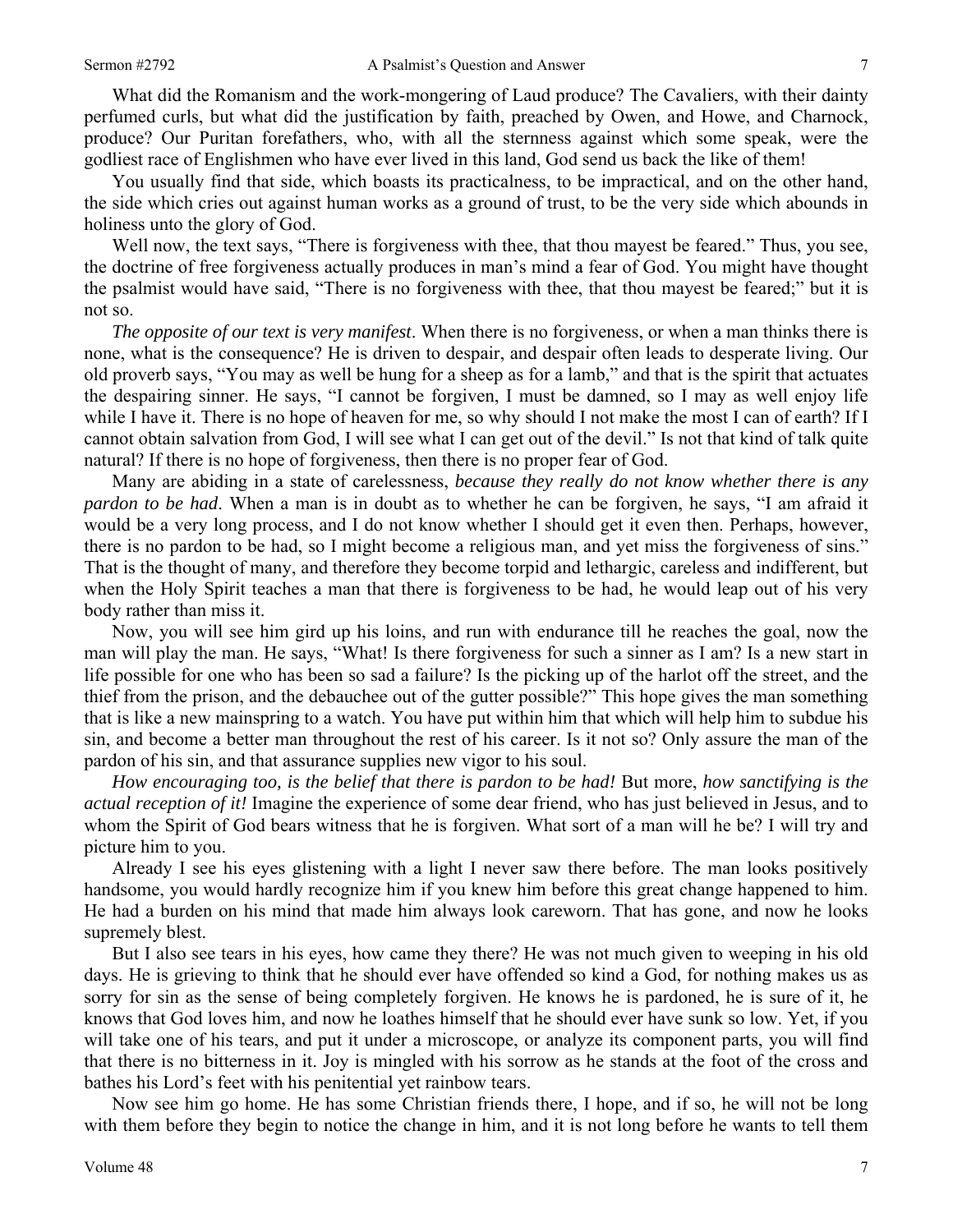What did the Romanism and the work-mongering of Laud produce? The Cavaliers, with their dainty perfumed curls, but what did the justification by faith, preached by Owen, and Howe, and Charnock, produce? Our Puritan forefathers, who, with all the sternness against which some speak, were the godliest race of Englishmen who have ever lived in this land, God send us back the like of them!

You usually find that side, which boasts its practicalness, to be impractical, and on the other hand, the side which cries out against human works as a ground of trust, to be the very side which abounds in holiness unto the glory of God.

Well now, the text says, "There is forgiveness with thee, that thou mayest be feared." Thus, you see, the doctrine of free forgiveness actually produces in man's mind a fear of God. You might have thought the psalmist would have said, "There is no forgiveness with thee, that thou mayest be feared;" but it is not so.

*The opposite of our text is very manifest*. When there is no forgiveness, or when a man thinks there is none, what is the consequence? He is driven to despair, and despair often leads to desperate living. Our old proverb says, "You may as well be hung for a sheep as for a lamb," and that is the spirit that actuates the despairing sinner. He says, "I cannot be forgiven, I must be damned, so I may as well enjoy life while I have it. There is no hope of heaven for me, so why should I not make the most I can of earth? If I cannot obtain salvation from God, I will see what I can get out of the devil." Is not that kind of talk quite natural? If there is no hope of forgiveness, then there is no proper fear of God.

Many are abiding in a state of carelessness, *because they really do not know whether there is any pardon to be had*. When a man is in doubt as to whether he can be forgiven, he says, "I am afraid it would be a very long process, and I do not know whether I should get it even then. Perhaps, however, there is no pardon to be had, so I might become a religious man, and yet miss the forgiveness of sins." That is the thought of many, and therefore they become torpid and lethargic, careless and indifferent, but when the Holy Spirit teaches a man that there is forgiveness to be had, he would leap out of his very body rather than miss it.

Now, you will see him gird up his loins, and run with endurance till he reaches the goal, now the man will play the man. He says, "What! Is there forgiveness for such a sinner as I am? Is a new start in life possible for one who has been so sad a failure? Is the picking up of the harlot off the street, and the thief from the prison, and the debauchee out of the gutter possible?" This hope gives the man something that is like a new mainspring to a watch. You have put within him that which will help him to subdue his sin, and become a better man throughout the rest of his career. Is it not so? Only assure the man of the pardon of his sin, and that assurance supplies new vigor to his soul.

*How encouraging too, is the belief that there is pardon to be had!* But more, *how sanctifying is the actual reception of it!* Imagine the experience of some dear friend, who has just believed in Jesus, and to whom the Spirit of God bears witness that he is forgiven. What sort of a man will he be? I will try and picture him to you.

Already I see his eyes glistening with a light I never saw there before. The man looks positively handsome, you would hardly recognize him if you knew him before this great change happened to him. He had a burden on his mind that made him always look careworn. That has gone, and now he looks supremely blest.

But I also see tears in his eyes, how came they there? He was not much given to weeping in his old days. He is grieving to think that he should ever have offended so kind a God, for nothing makes us as sorry for sin as the sense of being completely forgiven. He knows he is pardoned, he is sure of it, he knows that God loves him, and now he loathes himself that he should ever have sunk so low. Yet, if you will take one of his tears, and put it under a microscope, or analyze its component parts, you will find that there is no bitterness in it. Joy is mingled with his sorrow as he stands at the foot of the cross and bathes his Lord's feet with his penitential yet rainbow tears.

Now see him go home. He has some Christian friends there, I hope, and if so, he will not be long with them before they begin to notice the change in him, and it is not long before he wants to tell them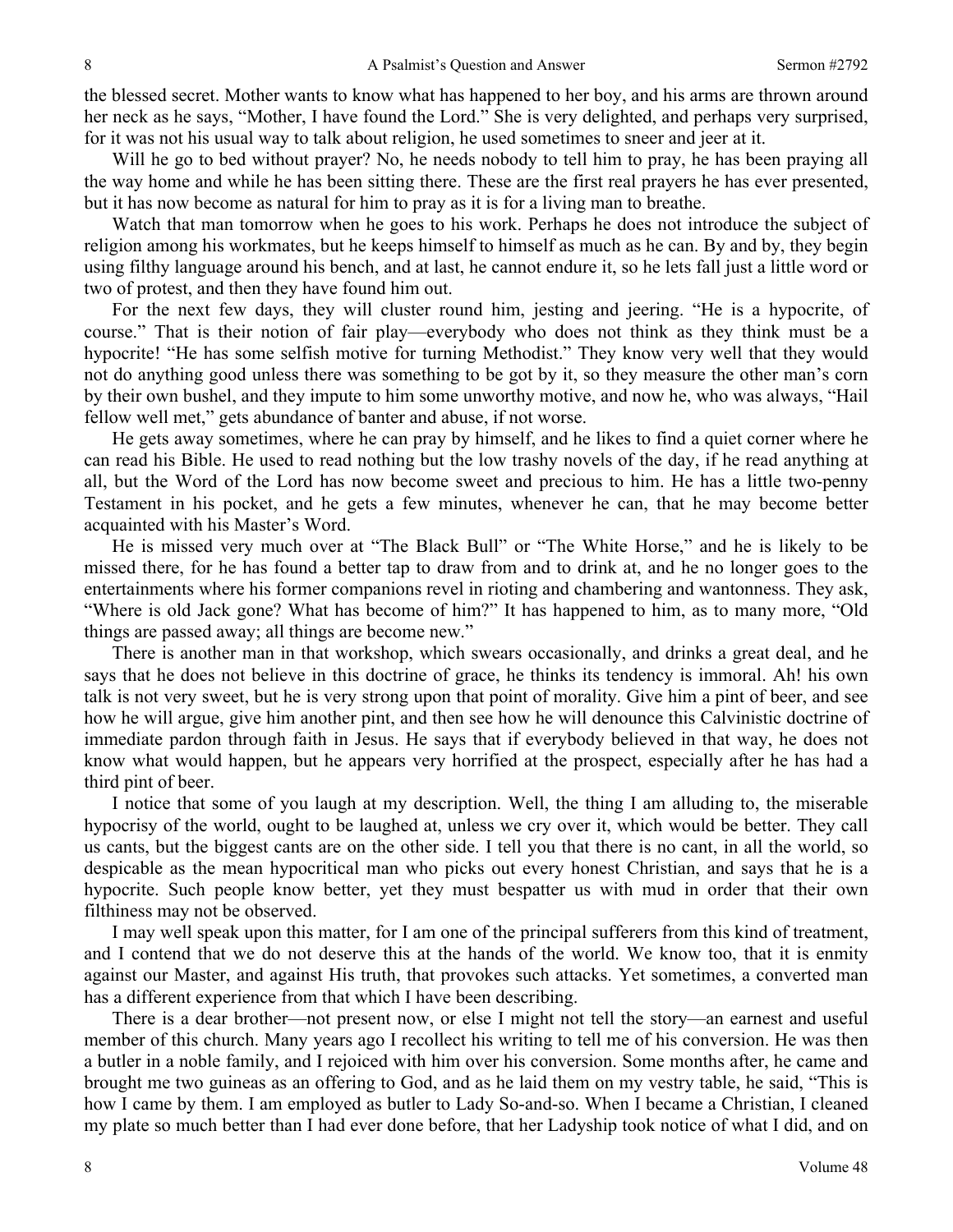the blessed secret. Mother wants to know what has happened to her boy, and his arms are thrown around her neck as he says, "Mother, I have found the Lord." She is very delighted, and perhaps very surprised, for it was not his usual way to talk about religion, he used sometimes to sneer and jeer at it.

Will he go to bed without prayer? No, he needs nobody to tell him to pray, he has been praying all the way home and while he has been sitting there. These are the first real prayers he has ever presented, but it has now become as natural for him to pray as it is for a living man to breathe.

Watch that man tomorrow when he goes to his work. Perhaps he does not introduce the subject of religion among his workmates, but he keeps himself to himself as much as he can. By and by, they begin using filthy language around his bench, and at last, he cannot endure it, so he lets fall just a little word or two of protest, and then they have found him out.

For the next few days, they will cluster round him, jesting and jeering. "He is a hypocrite, of course." That is their notion of fair play—everybody who does not think as they think must be a hypocrite! "He has some selfish motive for turning Methodist." They know very well that they would not do anything good unless there was something to be got by it, so they measure the other man's corn by their own bushel, and they impute to him some unworthy motive, and now he, who was always, "Hail fellow well met," gets abundance of banter and abuse, if not worse.

He gets away sometimes, where he can pray by himself, and he likes to find a quiet corner where he can read his Bible. He used to read nothing but the low trashy novels of the day, if he read anything at all, but the Word of the Lord has now become sweet and precious to him. He has a little two-penny Testament in his pocket, and he gets a few minutes, whenever he can, that he may become better acquainted with his Master's Word.

He is missed very much over at "The Black Bull" or "The White Horse," and he is likely to be missed there, for he has found a better tap to draw from and to drink at, and he no longer goes to the entertainments where his former companions revel in rioting and chambering and wantonness. They ask, "Where is old Jack gone? What has become of him?" It has happened to him, as to many more, "Old things are passed away; all things are become new."

There is another man in that workshop, which swears occasionally, and drinks a great deal, and he says that he does not believe in this doctrine of grace, he thinks its tendency is immoral. Ah! his own talk is not very sweet, but he is very strong upon that point of morality. Give him a pint of beer, and see how he will argue, give him another pint, and then see how he will denounce this Calvinistic doctrine of immediate pardon through faith in Jesus. He says that if everybody believed in that way, he does not know what would happen, but he appears very horrified at the prospect, especially after he has had a third pint of beer.

I notice that some of you laugh at my description. Well, the thing I am alluding to, the miserable hypocrisy of the world, ought to be laughed at, unless we cry over it, which would be better. They call us cants, but the biggest cants are on the other side. I tell you that there is no cant, in all the world, so despicable as the mean hypocritical man who picks out every honest Christian, and says that he is a hypocrite. Such people know better, yet they must bespatter us with mud in order that their own filthiness may not be observed.

I may well speak upon this matter, for I am one of the principal sufferers from this kind of treatment, and I contend that we do not deserve this at the hands of the world. We know too, that it is enmity against our Master, and against His truth, that provokes such attacks. Yet sometimes, a converted man has a different experience from that which I have been describing.

There is a dear brother—not present now, or else I might not tell the story—an earnest and useful member of this church. Many years ago I recollect his writing to tell me of his conversion. He was then a butler in a noble family, and I rejoiced with him over his conversion. Some months after, he came and brought me two guineas as an offering to God, and as he laid them on my vestry table, he said, "This is how I came by them. I am employed as butler to Lady So-and-so. When I became a Christian, I cleaned my plate so much better than I had ever done before, that her Ladyship took notice of what I did, and on